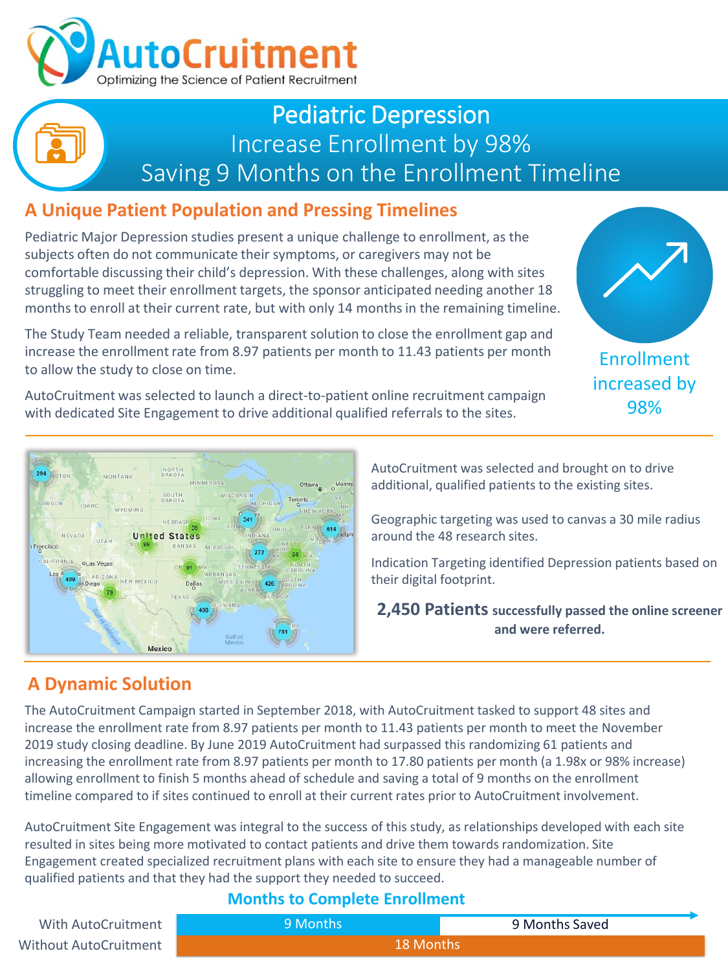

## Pediatric Depression Increase Enrollment by 98% Saving 9 Months on the Enrollment Timeline

## **A Unique Patient Population and Pressing Timelines**

Pediatric Major Depression studies present a unique challenge to enrollment, as the subjects often do not communicate their symptoms, or caregivers may not be comfortable discussing their child's depression. With these challenges, along with sites struggling to meet their enrollment targets, the sponsor anticipated needing another 18 months to enroll at their current rate, but with only 14 months in the remaining timeline.

The Study Team needed a reliable, transparent solution to close the enrollment gap and increase the enrollment rate from 8.97 patients per month to 11.43 patients per month to allow the study to close on time.

AutoCruitment was selected to launch a direct-to-patient online recruitment campaign with dedicated Site Engagement to drive additional qualified referrals to the sites.





AutoCruitment was selected and brought on to drive additional, qualified patients to the existing sites.

Geographic targeting was used to canvas a 30 mile radius around the 48 research sites.

Indication Targeting identified Depression patients based on their digital footprint.

**2,450 Patients successfully passed the online screener and were referred.**

## **A Dynamic Solution**

The AutoCruitment Campaign started in September 2018, with AutoCruitment tasked to support 48 sites and increase the enrollment rate from 8.97 patients per month to 11.43 patients per month to meet the November 2019 study closing deadline. By June 2019 AutoCruitment had surpassed this randomizing 61 patients and increasing the enrollment rate from 8.97 patients per month to 17.80 patients per month (a 1.98x or 98% increase) allowing enrollment to finish 5 months ahead of schedule and saving a total of 9 months on the enrollment timeline compared to if sites continued to enroll at their current rates prior to AutoCruitment involvement.

AutoCruitment Site Engagement was integral to the success of this study, as relationships developed with each site resulted in sites being more motivated to contact patients and drive them towards randomization. Site Engagement created specialized recruitment plans with each site to ensure they had a manageable number of qualified patients and that they had the support they needed to succeed.

#### **Months to Complete Enrollment**

onths

| With AutoCruitment    | 9 Months |
|-----------------------|----------|
| Without AutoCruitment | 18 M     |

9 Months Saved